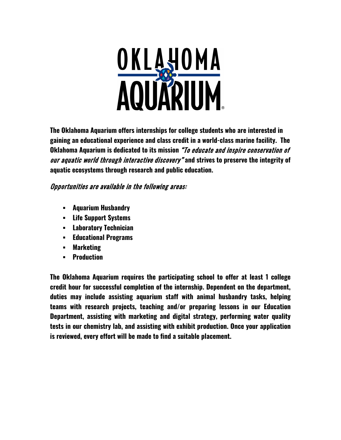

**The Oklahoma Aquarium offers internships for college students who are interested in gaining an educational experience and class credit in a world-class marine facility. The Oklahoma Aquarium is dedicated to its mission** "To educate and inspire conservation of our aquatic world through interactive discovery" **and strives to preserve the integrity of aquatic ecosystems through research and public education.**

# Opportunities are available in the following areas:

- **Aquarium Husbandry**
- **Life Support Systems**
- **Laboratory Technician**
- **Educational Programs**
- **Marketing**
- **Production**

**The Oklahoma Aquarium requires the participating school to offer at least 1 college credit hour for successful completion of the internship. Dependent on the department, duties may include assisting aquarium staff with animal husbandry tasks, helping teams with research projects, teaching and/or preparing lessons in our Education Department, assisting with marketing and digital strategy, performing water quality tests in our chemistry lab, and assisting with exhibit production. Once your application is reviewed, every effort will be made to find a suitable placement.**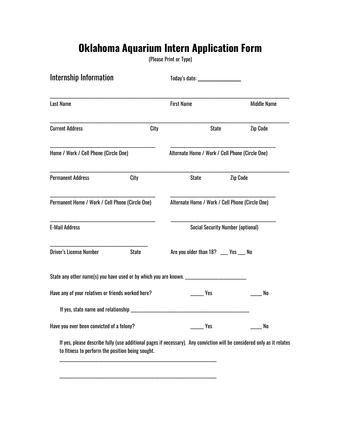# **Oklahoma Aquarium Intern Application Form**

(Please Print or Type)

| Internship Information                                                                                                                                                      |      | Today's date: ___________________               |                 |                    |
|-----------------------------------------------------------------------------------------------------------------------------------------------------------------------------|------|-------------------------------------------------|-----------------|--------------------|
| Last Name                                                                                                                                                                   |      | <b>First Name</b>                               |                 | <b>Middle Name</b> |
| <b>Current Address</b>                                                                                                                                                      | City |                                                 | <b>State</b>    | <b>Zip Code</b>    |
| Home / Work / Cell Phone (Circle One)                                                                                                                                       |      | Alternate Home / Work / Cell Phone (Circle One) |                 |                    |
| <b>Permanent Address</b><br>City                                                                                                                                            |      | <b>State</b>                                    | <b>Zip Code</b> |                    |
| Permanent Home / Work / Cell Phone (Circle One)                                                                                                                             |      | Alternate Home / Work / Cell Phone (Circle One) |                 |                    |
| <b>E-Mail Address</b>                                                                                                                                                       |      | <b>Social Security Number (optional)</b>        |                 |                    |
| <b>Driver's License Number</b><br><b>State</b>                                                                                                                              |      | Are you older than 18? ___ Yes ___ No           |                 |                    |
| State any other name(s) you have used or by which you are known. ______________________                                                                                     |      |                                                 |                 |                    |
| Have any of your relatives or friends worked here?                                                                                                                          |      | Yes                                             |                 | No                 |
|                                                                                                                                                                             |      |                                                 |                 |                    |
| Have you ever been convicted of a felony?                                                                                                                                   |      | Yes                                             |                 | No                 |
| If yes, please describe fully (use additional pages if necessary). Any conviction will be considered only as it relates<br>to fitness to perform the position being sought. |      |                                                 |                 |                    |

\_\_\_\_\_\_\_\_\_\_\_\_\_\_\_\_\_\_\_\_\_\_\_\_\_\_\_\_\_\_\_\_\_\_\_\_\_\_\_\_\_\_\_\_\_\_\_\_\_\_\_\_\_\_\_\_\_\_\_\_\_\_\_\_\_\_\_\_\_\_\_\_\_\_\_\_\_\_\_\_\_\_

\_\_\_\_\_\_\_\_\_\_\_\_\_\_\_\_\_\_\_\_\_\_\_\_\_\_\_\_\_\_\_\_\_\_\_\_\_\_\_\_\_\_\_\_\_\_\_\_\_\_\_\_\_\_\_\_\_\_\_\_\_\_\_\_\_\_\_\_\_\_\_\_\_\_\_\_\_\_\_\_\_\_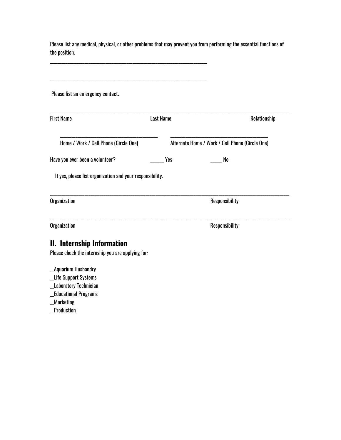| the position.                                                                   |                  |                                                 |
|---------------------------------------------------------------------------------|------------------|-------------------------------------------------|
| Please list an emergency contact.                                               |                  |                                                 |
| <b>First Name</b>                                                               | <b>Last Name</b> | Relationship                                    |
| Home / Work / Cell Phone (Circle One)                                           |                  | Alternate Home / Work / Cell Phone (Circle One) |
| Have you ever been a volunteer?                                                 | <b>Yes</b>       | No                                              |
| If yes, please list organization and your responsibility.                       |                  |                                                 |
| Organization                                                                    |                  | Responsibility                                  |
| Organization                                                                    |                  | Responsibility                                  |
| II. Internship Information<br>Please check the internship you are applying for: |                  |                                                 |

Please list any medical, physical, or other problems that may prevent you from performing the essential functions of

\_\_Aquarium Husbandry

- \_\_Life Support Systems
- \_\_Laboratory Technician

\_\_Educational Programs

\_\_Marketing

\_\_Production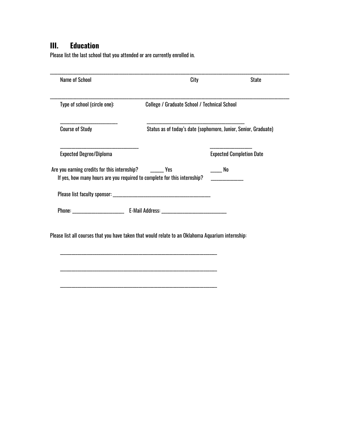# **III. Education**

Please list the last school that you attended or are currently enrolled in.

|                                                           | City                                                                     | <b>State</b>                                                    |  |  |
|-----------------------------------------------------------|--------------------------------------------------------------------------|-----------------------------------------------------------------|--|--|
| Type of school (circle one):                              | College / Graduate School / Technical School                             |                                                                 |  |  |
| <b>Course of Study</b>                                    |                                                                          | Status as of today's date (sophomore, Junior, Senior, Graduate) |  |  |
| <b>Expected Degree/Diploma</b>                            |                                                                          | <b>Expected Completion Date</b>                                 |  |  |
| Are you earning credits for this internship? ________ Yes | If yes, how many hours are you required to complete for this internship? | No                                                              |  |  |
|                                                           |                                                                          |                                                                 |  |  |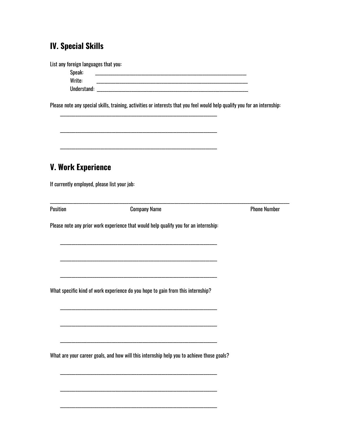# **IV. Special Skills**

List any foreign languages that you: Speak: Write: Please note any special skills, training, activities or interests that you feel would help qualify you for an internship: **V. Work Experience** If currently employed, please list your job: Position **Phone Number Company Name** Please note any prior work experience that would help qualify you for an internship: What specific kind of work experience do you hope to gain from this internship? What are your career goals, and how will this internship help you to achieve those goals?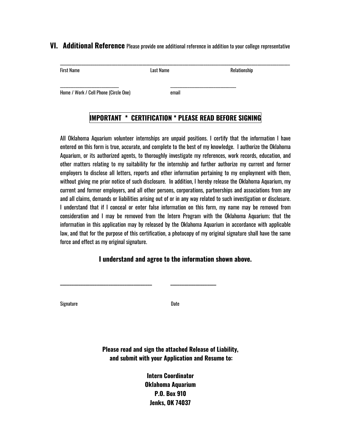#### **VI. Additional Reference** Please provide one additional reference in addition to your college representative

| <b>First Name</b>                     | Last Name | Relationship |  |
|---------------------------------------|-----------|--------------|--|
| Home / Work / Cell Phone (Circle One) | email     |              |  |

# **IMPORTANT \* CERTIFICATION \* PLEASE READ BEFORE SIGNING**

All Oklahoma Aquarium volunteer internships are unpaid positions. I certify that the information I have entered on this form is true, accurate, and complete to the best of my knowledge. I authorize the Oklahoma Aquarium, or its authorized agents, to thoroughly investigate my references, work records, education, and other matters relating to my suitability for the internship and further authorize my current and former employers to disclose all letters, reports and other information pertaining to my employment with them, without giving me prior notice of such disclosure. In addition, I hereby release the Oklahoma Aquarium, my current and former employers, and all other persons, corporations, partnerships and associations from any and all claims, demands or liabilities arising out of or in any way related to such investigation or disclosure. I understand that if I conceal or enter false information on this form, my name may be removed from consideration and I may be removed from the Intern Program with the Oklahoma Aquarium; that the information in this application may by released by the Oklahoma Aquarium in accordance with applicable law, and that for the purpose of this certification, a photocopy of my original signature shall have the same force and effect as my original signature.

#### **I understand and agree to the information shown above.**

Signature Date

\_\_\_\_\_\_\_\_\_\_\_\_\_\_\_\_\_\_\_\_\_\_\_\_\_\_\_\_\_\_\_\_\_\_\_\_\_\_\_\_ \_\_\_\_\_\_\_\_\_\_\_\_\_\_\_\_\_\_\_\_

**Please read and sign the attached Release of Liability, and submit with your Application and Resume to:** 

> **Intern Coordinator Oklahoma Aquarium P.O. Box 910 Jenks, OK 74037**